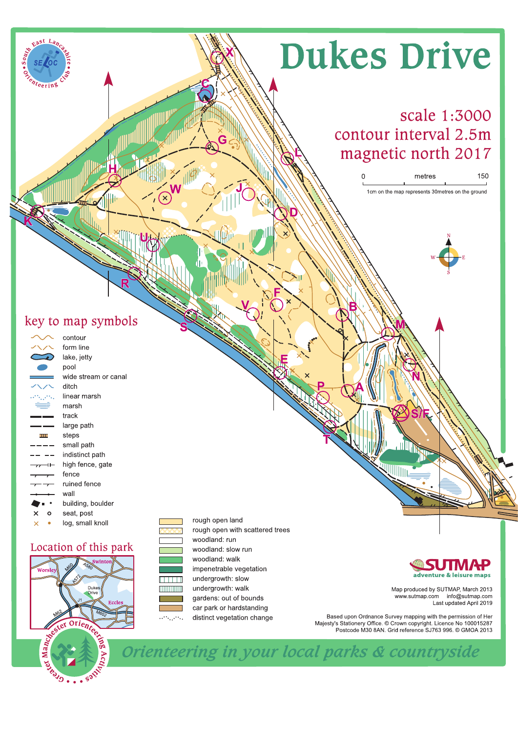# **Dukes Drive**

# scale 1:3000 contour interval 2.5m magnetic north 2017

metres 150 1cm on the map represents 30metres on the ground

## key to map symbols

 $t_{\text{cerin}}$ 

|          | contour              |  |  |  |  |
|----------|----------------------|--|--|--|--|
|          | form line            |  |  |  |  |
|          | lake, jetty          |  |  |  |  |
|          | pool                 |  |  |  |  |
|          | wide stream or canal |  |  |  |  |
|          | ditch                |  |  |  |  |
|          | linear marsh         |  |  |  |  |
|          | marsh                |  |  |  |  |
|          | track                |  |  |  |  |
|          | large path           |  |  |  |  |
|          | steps                |  |  |  |  |
|          | small path           |  |  |  |  |
|          | indistinct path      |  |  |  |  |
|          | high fence, gate     |  |  |  |  |
|          | fence                |  |  |  |  |
|          | ruined fence         |  |  |  |  |
|          | wall                 |  |  |  |  |
|          | building, boulder    |  |  |  |  |
| ×<br>ο   | seat, post           |  |  |  |  |
| $\times$ | loɑ. small knoll     |  |  |  |  |

### Location of this park



rough open land rough open with scattered trees woodland: run woodland: slow run woodland: walk impenetrable vegetation undergrowth: slow undergrowth: walk gardens: out of bounds car park or hardstanding distinct vegetation change

. . . . . .

**THEFT OF** 



Map produced by SUTMAP, March 2013<br>www.sutmap.com info@sutmap.com<br>Last updated April 2019

Based upon Ordnance Survey mapping with the permission of Her Diasou upon Ordinalice Survey mapping with the permission of their<br>Majesty's Stationery Office. © Crown copyright. Licence No 100015287<br>Postcode M30 8AN. Grid reference SJ763 996. © GMOA 2013